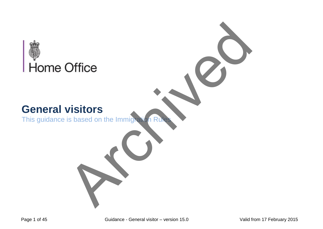

This guidance is based on the Immigration R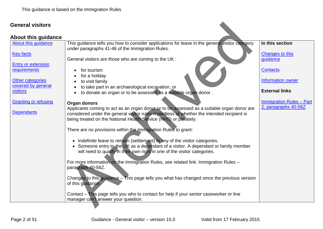#### <span id="page-1-0"></span>**About this guidance**

| <b>General visitors</b>                   |                                                                                                                                                                                                                                                 |                                                         |
|-------------------------------------------|-------------------------------------------------------------------------------------------------------------------------------------------------------------------------------------------------------------------------------------------------|---------------------------------------------------------|
| <b>About this guidance</b>                |                                                                                                                                                                                                                                                 |                                                         |
| About this guidance                       | This guidance tells you how to consider applications for leave in the general visitor category<br>under paragraphs 41-46 of the Immigration Rules.                                                                                              | In this section                                         |
| <b>Key facts</b>                          | General visitors are those who are coming to the UK :                                                                                                                                                                                           | <b>Changes to this</b><br>guidance                      |
| <b>Entry or extension</b><br>requirements | for tourism                                                                                                                                                                                                                                     | <b>Contacts</b>                                         |
| <b>Other categories</b>                   | for a holiday<br>to visit family                                                                                                                                                                                                                | Information owner                                       |
| covered by general<br><b>visitors</b>     | to take part in an archaeological excavation, or                                                                                                                                                                                                | <b>External links</b>                                   |
|                                           | to donate an organ or to be assessed as a suitable organ donor.                                                                                                                                                                                 |                                                         |
| <b>Granting or refusing</b>               | Organ donors<br>Applicants coming to act as an organ donor or to be assessed as a suitable organ donor are                                                                                                                                      | <b>Immigration Rules - Part</b><br>2: paragraphs 40-56Z |
| <b>Dependants</b>                         | considered under the general visitor rules regardless of whether the intended recipient is<br>being treated on the National Health Service (NHS) or privately.                                                                                  |                                                         |
|                                           | There are no provisions within the Immigration Rules to grant:                                                                                                                                                                                  |                                                         |
|                                           | • Indefinite leave to remain (settlement) in any of the visitor categories.<br>• Someone entry to the UK as a dependant of a visitor. A dependant or family member<br>will need to qualify in their own right in one of the visitor categories. |                                                         |
|                                           | For more information on the Immigration Rules, see related link: Immigration Rules -<br>paragraph 40-56Z.                                                                                                                                       |                                                         |
|                                           | Changes to this guidance - This page tells you what has changed since the previous version<br>of this guidance.                                                                                                                                 |                                                         |
|                                           | Contact – This page tells you who to contact for help if your senior caseworker or line<br>manager can't answer your question.                                                                                                                  |                                                         |
|                                           |                                                                                                                                                                                                                                                 |                                                         |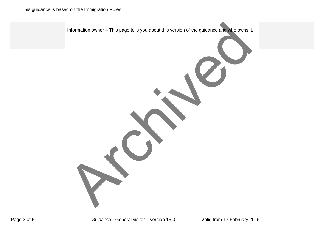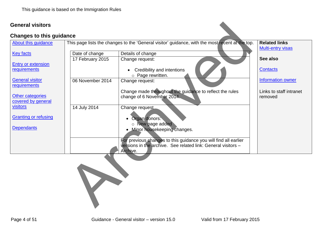#### <span id="page-3-0"></span>**Changes to this guidance**

| <b>Changes to this guidance</b><br><b>About this guidance</b> |                  | This page lists the changes to the 'General visitor' guidance, with the most recent at the top.                                              | <b>Related links</b><br><b>Multi-entry visas</b> |
|---------------------------------------------------------------|------------------|----------------------------------------------------------------------------------------------------------------------------------------------|--------------------------------------------------|
| <b>Key facts</b>                                              | Date of change   | Details of change                                                                                                                            |                                                  |
|                                                               | 17 February 2015 | Change request:                                                                                                                              | See also                                         |
| <b>Entry or extension</b><br>requirements                     |                  | Credibility and intentions<br>o Page rewritten.                                                                                              | <b>Contacts</b>                                  |
| <b>General visitor</b><br>requirements                        | 06 November 2014 | Change request:                                                                                                                              | Information owner                                |
| <b>Other categories</b><br>covered by general                 |                  | Change made throughout the guidance to reflect the rules<br>change of 6 November 2014.                                                       | Links to staff intranet<br>removed               |
| <b>visitors</b>                                               | 14 July 2014     | Change request                                                                                                                               |                                                  |
| <b>Granting or refusing</b>                                   |                  | • Organ donors:<br>o New page added                                                                                                          |                                                  |
| <b>Dependants</b>                                             |                  | Minor housekeeping changes.                                                                                                                  |                                                  |
|                                                               |                  | For previous changes to this guidance you will find all earlier<br>versions in the archive. See related link: General visitors -<br>Archive. |                                                  |
|                                                               |                  |                                                                                                                                              |                                                  |

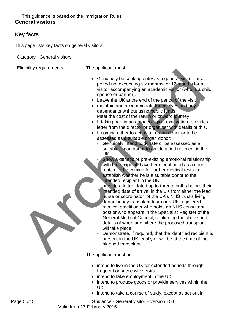# <span id="page-4-0"></span>**Key facts**

This page lists key facts on general visitors.

| Category: General visitors      |                                                                                                                                                                                                                                                                                                                                                                                                                                                                                                                                                                                                                                                                                                                                                                                                                                                                                                                                                                                                                                                                                                                                                                                                                                                                                                                                                                                                                                                                                                                                                                                                                                                                      |  |  |
|---------------------------------|----------------------------------------------------------------------------------------------------------------------------------------------------------------------------------------------------------------------------------------------------------------------------------------------------------------------------------------------------------------------------------------------------------------------------------------------------------------------------------------------------------------------------------------------------------------------------------------------------------------------------------------------------------------------------------------------------------------------------------------------------------------------------------------------------------------------------------------------------------------------------------------------------------------------------------------------------------------------------------------------------------------------------------------------------------------------------------------------------------------------------------------------------------------------------------------------------------------------------------------------------------------------------------------------------------------------------------------------------------------------------------------------------------------------------------------------------------------------------------------------------------------------------------------------------------------------------------------------------------------------------------------------------------------------|--|--|
| <b>Eligibility requirements</b> | The applicant must:<br>• Genuinely be seeking entry as a general visitor for a<br>period not exceeding six months, or 12 months for a<br>visitor accompanying an academic visitor (who is a child,<br>spouse or partner).<br>Leave the UK at the end of the period of the visit<br>maintain and accommodate themselves and any<br>dependants without using public funds.<br>Meet the cost of the return or onward journey<br>If taking part in an archaeological excavation, provide a<br>letter from the director or organiser with details of this.<br>If coming either to act as an organ donor or to be<br>assessed as a suitable organ donor:<br>o Genuinely intend to donate or be assessed as a<br>suitable organ donor to an identified recipient in the<br>UK.<br>o Show a genetic or pre-existing emotional relationship<br>with the recipient, have been confirmed as a donor<br>match, or be coming for further medical tests to<br>establish whether he is a suitable donor to the<br>intended recipient in the UK<br>provide a letter, dated up to three months before their<br>intended date of arrival in the UK from either the lead<br>nurse or coordinator of the UK's NHS trust's living<br>donor kidney transplant team or a UK registered<br>medical practitioner who holds an NHS consultant<br>post or who appears in the Specialist Register of the<br>General Medical Council, confirming the above and<br>details of when and where the proposed transplant<br>will take place<br>Demonstrate, if required, that the identified recipient is<br>$\circ$<br>present in the UK legally or will be at the time of the<br>planned transplant. |  |  |
|                                 | The applicant must not:                                                                                                                                                                                                                                                                                                                                                                                                                                                                                                                                                                                                                                                                                                                                                                                                                                                                                                                                                                                                                                                                                                                                                                                                                                                                                                                                                                                                                                                                                                                                                                                                                                              |  |  |
|                                 | intend to live in the UK for extended periods through<br>frequent or successive visits<br>intend to take employment in the UK<br>intend to produce goods or provide services within the<br>UK<br>intend to take a course of study, except as set out in                                                                                                                                                                                                                                                                                                                                                                                                                                                                                                                                                                                                                                                                                                                                                                                                                                                                                                                                                                                                                                                                                                                                                                                                                                                                                                                                                                                                              |  |  |

Page 5 of 51 Guidance - General visitor – version 15.0 Valid from 17 February 2015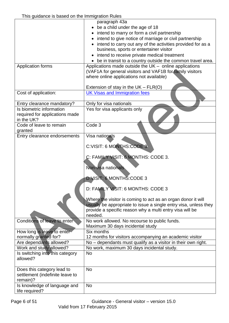|                                 | paragraph 43a                                                                                                                    |
|---------------------------------|----------------------------------------------------------------------------------------------------------------------------------|
|                                 | be a child under the age of 18                                                                                                   |
|                                 | intend to marry or form a civil partnership                                                                                      |
|                                 | • intend to give notice of marriage or civil partnership                                                                         |
|                                 | intend to carry out any of the activities provided for as a                                                                      |
|                                 | business, sports or entertainer visitor                                                                                          |
|                                 | intend to receive private medical treatment                                                                                      |
|                                 | be in transit to a country outside the common travel area.                                                                       |
| Application forms               | Applications made outside the UK - online applications                                                                           |
|                                 | (VAF1A for general visitors and VAF1B for family visitors                                                                        |
|                                 | where online applications not available)                                                                                         |
|                                 |                                                                                                                                  |
|                                 | Extension of stay in the $UK - FLR(O)$                                                                                           |
| Cost of application:            | <b>UK Visas and Immigration fees</b>                                                                                             |
| Entry clearance mandatory?      | Only for visa nationals                                                                                                          |
| Is biometric information        | Yes for visa applicants only                                                                                                     |
| required for applications made  |                                                                                                                                  |
| in the UK?                      |                                                                                                                                  |
| Code of leave to remain         | Code 3                                                                                                                           |
| granted                         |                                                                                                                                  |
| Entry clearance endorsements    | Visa nationals                                                                                                                   |
|                                 |                                                                                                                                  |
|                                 | C:VISIT: 6 MONTHS:CODE 3                                                                                                         |
|                                 |                                                                                                                                  |
|                                 | C: FAMILY VISIT: 6 MONTHS: CODE 3.                                                                                               |
|                                 |                                                                                                                                  |
|                                 | Non-visa nationals                                                                                                               |
|                                 |                                                                                                                                  |
|                                 | D:VISIT: 6 MONTHS:CODE 3                                                                                                         |
|                                 |                                                                                                                                  |
|                                 | D: FAMILY VISIT: 6 MONTHS: CODE 3                                                                                                |
|                                 |                                                                                                                                  |
|                                 | Where the visitor is coming to act as an organ donor it will<br>usually be appropriate to issue a single entry visa, unless they |
|                                 | provide a specific reason why a multi entry visa will be                                                                         |
|                                 | needed.                                                                                                                          |
| Conditions of leave to enter    | No work allowed. No recourse to public funds.                                                                                    |
|                                 | Maximum 30 days incidental study                                                                                                 |
| How long is leave to enter-     | Six months                                                                                                                       |
| normally granted for?           | 12 months for visitors accompanying an academic visitor                                                                          |
| Are dependants allowed?         | No - dependants must qualify as a visitor in their own right.                                                                    |
| Work and study allowed?         | No work, maximum 30 days incidental study.                                                                                       |
| Is switching into this category | <b>No</b>                                                                                                                        |
| allowed?                        |                                                                                                                                  |
|                                 |                                                                                                                                  |
| Does this category lead to      | <b>No</b>                                                                                                                        |
| settlement (indefinite leave to |                                                                                                                                  |
| remain)?                        |                                                                                                                                  |
| Is knowledge of language and    | <b>No</b>                                                                                                                        |
| life required?                  |                                                                                                                                  |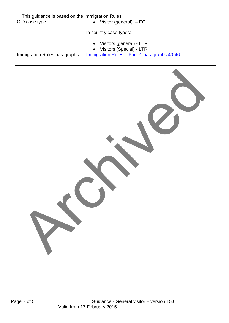This guidance is based on the Immigration Rules

| <b>THIS GUIDDING IS DUOUG OF THE INTIING AND LIVES</b> |                                                                     |  |  |  |
|--------------------------------------------------------|---------------------------------------------------------------------|--|--|--|
| CID case type                                          | Visitor (general) $-EC$<br>$\bullet$                                |  |  |  |
|                                                        | In country case types:                                              |  |  |  |
|                                                        | • Visitors (general) - LTR<br>Visitors (Special) - LTR<br>$\bullet$ |  |  |  |
| Immigration Rules paragraphs                           | <u><b>Immigration Rules – Part 2: paragraphs 40-46</b></u>          |  |  |  |

Archived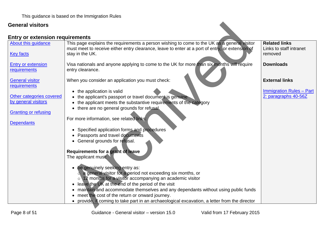<span id="page-7-0"></span>

| <b>General visitors</b>                |                                                                                                                                                                                                |                                                 |
|----------------------------------------|------------------------------------------------------------------------------------------------------------------------------------------------------------------------------------------------|-------------------------------------------------|
| <b>Entry or extension requirements</b> |                                                                                                                                                                                                |                                                 |
| About this guidance                    | This page explains the requirements a person wishing to come to the UK as a general visitor<br>must meet to receive either entry clearance, leave to enter at a port of entry, or extension of | <b>Related links</b><br>Links to staff intranet |
| <b>Key facts</b>                       | stay in the UK.                                                                                                                                                                                | removed                                         |
| <b>Entry or extension</b>              | Visa nationals and anyone applying to come to the UK for more than six months will require                                                                                                     | <b>Downloads</b>                                |
| requirements                           | entry clearance.                                                                                                                                                                               |                                                 |
| <b>General visitor</b>                 | When you consider an application you must check:                                                                                                                                               | <b>External links</b>                           |
| requirements                           | • the application is valid                                                                                                                                                                     | <b>Immigration Rules - Part</b>                 |
| Other categories covered               | • the applicant's passport or travel document is genuine                                                                                                                                       | 2: paragraphs 40-56Z                            |
| by general visitors                    | • the applicant meets the substantive requirements of the category                                                                                                                             |                                                 |
| <b>Granting or refusing</b>            | • there are no general grounds for refusal.                                                                                                                                                    |                                                 |
| <b>Dependants</b>                      | For more information, see related links:                                                                                                                                                       |                                                 |
|                                        | • Specified application forms and procedures                                                                                                                                                   |                                                 |
|                                        | • Passports and travel documents                                                                                                                                                               |                                                 |
|                                        | • General grounds for refusal.                                                                                                                                                                 |                                                 |
|                                        | Requirements for a grant of leave                                                                                                                                                              |                                                 |
|                                        | The applicant must:                                                                                                                                                                            |                                                 |
|                                        |                                                                                                                                                                                                |                                                 |
|                                        | be genuinely seeking entry as:                                                                                                                                                                 |                                                 |
|                                        | o a general visitor for a period not exceeding six months, or<br>$\circ$ 12 months for a visitor accompanying an academic visitor                                                              |                                                 |
|                                        | leave the UK at the end of the period of the visit                                                                                                                                             |                                                 |
|                                        | maintain and accommodate themselves and any dependants without using public funds                                                                                                              |                                                 |
|                                        | • meet the cost of the return or onward journey.                                                                                                                                               |                                                 |
|                                        | • provide, if coming to take part in an archaeological excavation, a letter from the director                                                                                                  |                                                 |
|                                        |                                                                                                                                                                                                |                                                 |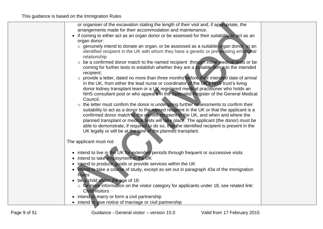| or organiser of the excavation stating the length of their visit and, if appropriate, the                |  |
|----------------------------------------------------------------------------------------------------------|--|
| arrangements made for their accommodation and maintenance.                                               |  |
| if coming to either act as an organ donor or be assessed for their suitability to act as an<br>$\bullet$ |  |
| organ donor:                                                                                             |  |
| o genuinely intend to donate an organ, or be assessed as a suitable organ donor to an                    |  |
| identified recipient in the UK with whom they have a genetic or pre-existing emotional                   |  |
| relationship                                                                                             |  |
| o be a confirmed donor match to the named recipient through initial medical tests or be                  |  |
| coming for further tests to establish whether they are a suitable donor to the intended                  |  |
| recipient;                                                                                               |  |
| o provide a letter, dated no more than three months before their intended date of arrival                |  |
| in the UK, from either the lead nurse or coordinator of the UK's NHS trust's living                      |  |
| donor kidney transplant team or a UK registered medical practitioner who holds an                        |  |
| NHS consultant post or who appears in the Specialist Register of the General Medical                     |  |
| Council,                                                                                                 |  |
| $\circ$ the letter must confirm the donor is undergoing further assessments to confirm their             |  |
| suitability to act as a donor to the named recipient in the UK or that the applicant is a                |  |
| confirmed donor match to the named recipient in the UK, and when and where the                           |  |
| planned transplant or medical tests will take place. The applicant (the donor) must be                   |  |
| able to demonstrate, if required to do so, that the identified recipient is present in the               |  |
| UK legally or will be at the time of the planned transplant.                                             |  |
|                                                                                                          |  |
| The applicant must not:                                                                                  |  |
|                                                                                                          |  |
| • intend to live in the UK for extended periods through frequent or successive visits                    |  |
| intend to take employment in the UK<br>$\bullet$                                                         |  |
| intend to produce goods or provide services within the UK                                                |  |
| intend to take a course of study, except as set out in paragraph 43a of the Immigration<br>$\bullet$     |  |
| <b>Rules</b>                                                                                             |  |
| • be a child under the age of 18:                                                                        |  |
| $\circ$ for more information on the visitor category for applicants under 18, see related link:          |  |
| <b>Child visitors</b>                                                                                    |  |
| • intend to marry or form a civil partnership                                                            |  |
| • intend to give notice of marriage or civil partnership                                                 |  |
|                                                                                                          |  |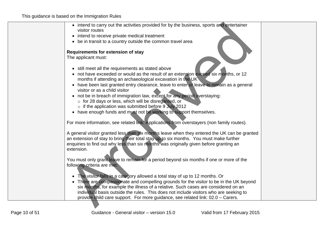| • intend to carry out the activities provided for by the business, sports and entertainer<br>visitor routes                                                                                                                                                                                                                                           |  |
|-------------------------------------------------------------------------------------------------------------------------------------------------------------------------------------------------------------------------------------------------------------------------------------------------------------------------------------------------------|--|
| • intend to receive private medical treatment                                                                                                                                                                                                                                                                                                         |  |
| • be in transit to a country outside the common travel area                                                                                                                                                                                                                                                                                           |  |
| <b>Requirements for extension of stay</b><br>The applicant must:                                                                                                                                                                                                                                                                                      |  |
| • still meet all the requirements as stated above<br>• not have exceeded or would as the result of an extension exceed six months, or 12<br>months if attending an archaeological excavation in the UK<br>have been last granted entry clearance, leave to enter or leave to remain as a general                                                      |  |
| visitor or as a child visitor<br>• not be in breach of immigration law, except for any period overstaying:<br>o for 28 days or less, which will be disregarded, or<br>o if the application was submitted before 9 July 2012                                                                                                                           |  |
| • have enough funds and must not be working to support themselves.                                                                                                                                                                                                                                                                                    |  |
| For more information, see related link: Applications from overstayers (non family routes).                                                                                                                                                                                                                                                            |  |
| A general visitor granted less than six months leave when they entered the UK can be granted<br>an extension of stay to bring their total stay up to six months. You must make further<br>enquiries to find out why less than six months was originally given before granting an<br>extension.                                                        |  |
| You must only grant leave to remain for a period beyond six months if one or more of the<br>following criteria are met:                                                                                                                                                                                                                               |  |
| • The visitor falls in a category allowed a total stay of up to 12 months. Or<br>There are compassionate and compelling grounds for the visitor to be in the UK beyond<br>six months, for example the illness of a relative. Such cases are considered on an<br>individual basis outside the rules. This does not include visitors who are seeking to |  |
| provide child care support. For more guidance, see related link: 02.0 - Carers.                                                                                                                                                                                                                                                                       |  |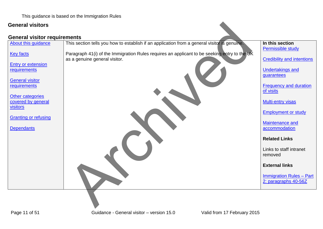#### <span id="page-10-0"></span>**General visitor requirements**

| <b>General visitors</b>                   |                                                                                                                               |                                                         |
|-------------------------------------------|-------------------------------------------------------------------------------------------------------------------------------|---------------------------------------------------------|
| <b>General visitor requirements</b>       |                                                                                                                               |                                                         |
| About this guidance                       | This section tells you how to establish if an application from a general visitor is genuine.                                  | In this section                                         |
| <b>Key facts</b>                          | Paragraph 41(i) of the Immigration Rules requires an applicant to be seeking entry to the UK<br>as a genuine general visitor. | Permissible study<br><b>Credibility and intentions</b>  |
| <b>Entry or extension</b><br>requirements |                                                                                                                               | <b>Undertakings and</b>                                 |
| <b>General visitor</b>                    |                                                                                                                               | guarantees                                              |
| requirements                              |                                                                                                                               | <b>Frequency and duration</b><br>of visits              |
| Other categories<br>covered by general    |                                                                                                                               | <b>Multi-entry visas</b>                                |
| visitors<br><b>Granting or refusing</b>   |                                                                                                                               | <b>Employment or study</b>                              |
| <b>Dependants</b>                         |                                                                                                                               | Maintenance and<br>accommodation                        |
|                                           |                                                                                                                               | <b>Related Links</b>                                    |
|                                           |                                                                                                                               | Links to staff intranet<br>removed                      |
|                                           |                                                                                                                               | <b>External links</b>                                   |
|                                           |                                                                                                                               | <b>Immigration Rules - Part</b><br>2: paragraphs 40-56Z |
|                                           |                                                                                                                               |                                                         |
|                                           |                                                                                                                               |                                                         |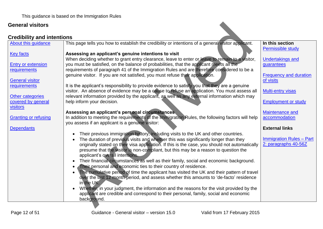<span id="page-11-0"></span>

| <b>General visitors</b>                |                                                                                                                                                                                                                          |                                             |
|----------------------------------------|--------------------------------------------------------------------------------------------------------------------------------------------------------------------------------------------------------------------------|---------------------------------------------|
| <b>Credibility and intentions</b>      |                                                                                                                                                                                                                          |                                             |
| About this guidance                    | This page tells you how to establish the credibility or intentions of a general visitor applicant.                                                                                                                       | In this section<br><b>Permissible study</b> |
| <b>Key facts</b>                       | Assessing an applicant's genuine intentions to visit<br>When deciding whether to grant entry clearance, leave to enter or leave to remain to a visitor,                                                                  | <b>Undertakings and</b>                     |
| <b>Entry or extension</b>              | you must be satisfied, on the balance of probabilities, that the applicant meets all the                                                                                                                                 | guarantees                                  |
| requirements                           | requirements of paragraph 41 of the Immigration Rules and are therefore considered to be a<br>genuine visitor. If you are not satisfied, you must refuse their application.                                              | <b>Frequency and duration</b>               |
| <b>General visitor</b><br>requirements | It is the applicant's responsibility to provide evidence to satisfy you that they are a genuine                                                                                                                          | of visits                                   |
| Other categories                       | visitor. An absence of evidence may be a cause to refuse an application. You must assess all<br>relevant information provided by the applicant, as well as any external information which may                            | <b>Multi-entry visas</b>                    |
| covered by general<br><b>visitors</b>  | help inform your decision.                                                                                                                                                                                               | <b>Employment or study</b>                  |
| <b>Granting or refusing</b>            | Assessing an applicant's personal circumstances.<br>In addition to meeting the requirements of the Immigration Rules, the following factors will help                                                                    | Maintenance and<br>accommodation            |
| <b>Dependants</b>                      | you assess if an applicant is a genuine visitor:                                                                                                                                                                         | <b>External links</b>                       |
|                                        | Their previous immigration history, including visits to the UK and other countries.<br>The duration of previous visits and whether this was significantly longer than they                                               | <b>Immigration Rules - Part</b>             |
|                                        | originally stated on their visa application. If this is the case, you should not automatically<br>presume that the visitor is non-compliant, but this may be a reason to question the<br>applicant's overall intentions. | 2: paragraphs 40-56Z                        |
|                                        | Their financial circumstances as well as their family, social and economic background.<br>Their personal and economic ties to their country of residence.                                                                |                                             |
|                                        | The cumulative period of time the applicant has visited the UK and their pattern of travel<br>over the last 12 month period, and assess whether this amounts to 'de-facto' residence<br>in the UK.                       |                                             |
|                                        | Whether, in your judgment, the information and the reasons for the visit provided by the<br>applicant are credible and correspond to their personal, family, social and economic<br>background.                          |                                             |
|                                        |                                                                                                                                                                                                                          |                                             |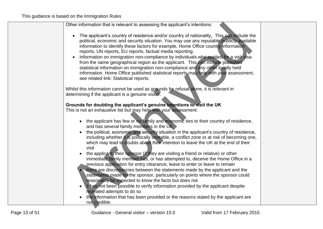| Other information that is relevant to assessing the applicant's intentions:                                                                                                                                                                                                                                                                                                                                                                                                                                                                                                                                                                                                                                                                                         |
|---------------------------------------------------------------------------------------------------------------------------------------------------------------------------------------------------------------------------------------------------------------------------------------------------------------------------------------------------------------------------------------------------------------------------------------------------------------------------------------------------------------------------------------------------------------------------------------------------------------------------------------------------------------------------------------------------------------------------------------------------------------------|
| The applicant's country of residence and/or country of nationality. This can include the<br>$\bullet$<br>political, economic and security situation. You may use any reputable publicly available<br>information to identify these factors for example, Home Office country information<br>reports, UN reports, EU reports, factual media reporting.<br>Information on immigration non-compliance by individuals who applied for a visit visa<br>$\bullet$<br>from the same geographical region as the applicant. This can include published<br>statistical information on immigration non-compliance and any other locally held<br>information. Home Office published statistical reports may help with your assessment,<br>see related link: Statistical reports. |
| Whilst this information cannot be used as grounds for refusal alone, it is relevant in<br>determining if the applicant is a genuine visitor.                                                                                                                                                                                                                                                                                                                                                                                                                                                                                                                                                                                                                        |
| Grounds for doubting the applicant's genuine intentions to visit the UK<br>This is not an exhaustive list but may help with your assessment:                                                                                                                                                                                                                                                                                                                                                                                                                                                                                                                                                                                                                        |
| the applicant has few or no family and economic ties to their country of residence,<br>$\bullet$<br>and has several family members in the UK                                                                                                                                                                                                                                                                                                                                                                                                                                                                                                                                                                                                                        |
| the political, economic and security situation in the applicant's country of residence,<br>including whether it is politically unstable, a conflict zone or at risk of becoming one,<br>which may lead to doubts about their intention to leave the UK at the end of their<br>visit                                                                                                                                                                                                                                                                                                                                                                                                                                                                                 |
| the applicant, their sponsor (if they are visiting a friend or relative) or other<br>immediate family member has, or has attempted to, deceive the Home Office in a<br>previous application for entry clearance, leave to enter or leave to remain                                                                                                                                                                                                                                                                                                                                                                                                                                                                                                                  |
| there are discrepancies between the statements made by the applicant and the<br>statements made by the sponsor, particularly on points where the sponsor could<br>reasonably be expected to know the facts but does not                                                                                                                                                                                                                                                                                                                                                                                                                                                                                                                                             |
| it has not been possible to verify information provided by the applicant despite<br>repeated attempts to do so<br>the information that has been provided or the reasons stated by the applicant are                                                                                                                                                                                                                                                                                                                                                                                                                                                                                                                                                                 |
| not credible.                                                                                                                                                                                                                                                                                                                                                                                                                                                                                                                                                                                                                                                                                                                                                       |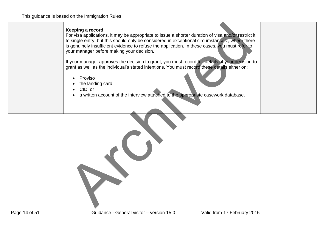#### **Keeping a record**

For visa applications, it may be appropriate to issue a shorter duration of visa and/or restrict it to single entry, but this should only be considered in exceptional circumstances , where there is genuinely insufficient evidence to refuse the application. In these cases, you must refer to your manager before making your decision. Keeping a record<br>
For visa applications, it may be appropriate to issue a shorter duration of visa analón restrictions<br>
tio single entry, but this should only be considered in exceptional circumstances, where then<br>
is genu

If your manager approves the decision to grant, you must record full details of your decision to grant as well as the individual's stated intentions. You must record these details either on:

- **•** Proviso
- the landing card
- CID, or
- a written account of the interview attached to the appropriate casework database.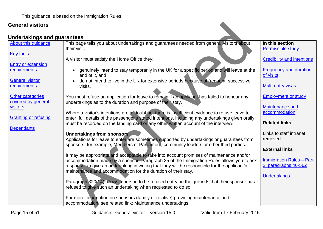<span id="page-14-0"></span>

| <b>General visitors</b>                   |                                                                                                                                                                                                                            |                                                         |
|-------------------------------------------|----------------------------------------------------------------------------------------------------------------------------------------------------------------------------------------------------------------------------|---------------------------------------------------------|
| <b>Undertakings and guarantees</b>        |                                                                                                                                                                                                                            |                                                         |
| About this quidance                       | This page tells you about undertakings and guarantees needed from general visitors about<br>their visit.                                                                                                                   | In this section<br><b>Permissible study</b>             |
| <b>Key facts</b>                          | A visitor must satisfy the Home Office they:                                                                                                                                                                               | <b>Credibility and intentions</b>                       |
| <b>Entry or extension</b><br>requirements | genuinely intend to stay temporarily in the UK for a specific period and will leave at the<br>end of it, and                                                                                                               | <b>Frequency and duration</b><br>of visits              |
| <b>General visitor</b><br>requirements    | do not intend to live in the UK for extensive periods because of frequent, successive<br>visits.                                                                                                                           | <b>Multi-entry visas</b>                                |
| Other categories<br>covered by general    | You must refuse an application for leave to remain if an applicant has failed to honour any<br>undertakings as to the duration and purpose of their stay.                                                                  | <b>Employment or study</b>                              |
| <b>visitors</b>                           | Where a visitor's intentions are in doubt but there is insufficient evidence to refuse leave to                                                                                                                            | <b>Maintenance and</b><br>accommodation                 |
| <b>Granting or refusing</b>               | enter, full details of the passenger's stated intentions, including any undertakings given orally,<br>must be recorded on the landing card or any other written account of the interview.                                  | <b>Related links</b>                                    |
| <b>Dependants</b>                         | <b>Undertakings from sponsors</b><br>Applications for leave to enter are sometimes supported by undertakings or guarantees from<br>sponsors, for example, Members of Parliament, community leaders or other third parties. | Links to staff intranet<br>removed                      |
|                                           | It may be appropriate and acceptable to take into account promises of maintenance and/or                                                                                                                                   | <b>External links</b>                                   |
|                                           | accommodation made by a sponsor. Paragraph 35 of the Immigration Rules allows you to ask<br>a sponsor to give an undertaking in writing that they will be responsible for the applicant's                                  | <b>Immigration Rules - Part</b><br>2: paragraphs 40-56Z |
|                                           | maintenance and accommodation for the duration of their stay.                                                                                                                                                              | <b>Undertakings</b>                                     |
|                                           | Paragraph 320(14) allows a person to be refused entry on the grounds that their sponsor has<br>refused to give such an undertaking when requested to do so.                                                                |                                                         |
|                                           | For more information on sponsors (family or relative) providing maintenance and<br>accommodation, see related link: Maintenance undertakings.                                                                              |                                                         |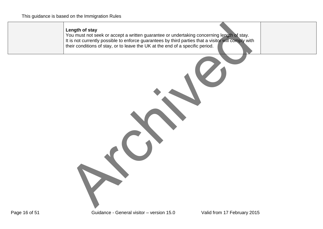#### **Length of stay**

You must not seek or accept a written guarantee or undertaking concerning length of stay. It is not currently possible to enforce guarantees by third parties that a visitor will comply with their conditions of stay, or to leave the UK at the end of a specific period. Length of stay<br>You must not seek or accept a written guarantee or undertaking concerning length of stay.<br>It is not currently possible to enforce guarantees by third parties that a visito millions of stay, or to leave the U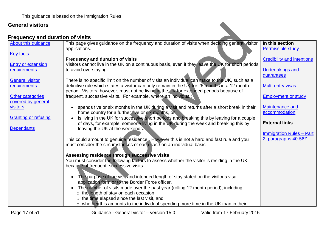<span id="page-16-0"></span>

| <b>General visitors</b>                 |                                                                                                                                                                                          |                                         |
|-----------------------------------------|------------------------------------------------------------------------------------------------------------------------------------------------------------------------------------------|-----------------------------------------|
| <b>Frequency and duration of visits</b> |                                                                                                                                                                                          |                                         |
| About this guidance                     | This page gives guidance on the frequency and duration of visits when deciding general visitor<br>applications.                                                                          | In this section<br>Permissible study    |
| <b>Key facts</b>                        | <b>Frequency and duration of visits</b>                                                                                                                                                  | <b>Credibility and intentions</b>       |
| <b>Entry or extension</b>               | Visitors cannot live in the UK on a continuous basis, even if they leave the UK for short periods                                                                                        |                                         |
| requirements                            | to avoid overstaying.                                                                                                                                                                    | <b>Undertakings and</b><br>guarantees   |
| <b>General visitor</b>                  | There is no specific limit on the number of visits an individual can make to the UK, such as a                                                                                           |                                         |
| requirements                            | definitive rule which states a visitor can only remain in the UK for '6 months in a 12 month<br>period'. Visitors, however, must not be living in the UK for extended periods because of | <b>Multi-entry visas</b>                |
| Other categories<br>covered by general  | frequent, successive visits. For example, where an individual:                                                                                                                           | <b>Employment or study</b>              |
| <b>visitors</b>                         | spends five or six months in the UK during a visit and returns after a short break in their<br>home country for a further five or six months, or                                         | <b>Maintenance and</b><br>accommodation |
| <b>Granting or refusing</b>             | is living in the UK for successive short periods and breaking this by leaving for a couple                                                                                               |                                         |
| <b>Dependants</b>                       | of days, for example, someone living in the UK during the week and breaking this by<br>leaving the UK at the weekends.                                                                   | <b>External links</b>                   |
|                                         |                                                                                                                                                                                          | <b>Immigration Rules - Part</b>         |
|                                         | This could amount to genuine residence. However this is not a hard and fast rule and you<br>must consider the circumstances of each case on an individual basis.                         | 2: paragraphs 40-56Z                    |
|                                         | Assessing residence through successive visits                                                                                                                                            |                                         |
|                                         | You must consider the following factors to assess whether the visitor is residing in the UK                                                                                              |                                         |
|                                         | because of frequent, successive visits:                                                                                                                                                  |                                         |
|                                         | The purpose of the visit and intended length of stay stated on the visitor's visa<br>$\bullet$<br>application form or to the Border Force officer.                                       |                                         |
|                                         | The number of visits made over the past year (rolling 12 month period), including:<br>$\bullet$                                                                                          |                                         |
|                                         | $\circ$ the length of stay on each occasion                                                                                                                                              |                                         |
|                                         | o the time elapsed since the last visit, and                                                                                                                                             |                                         |
|                                         | $\circ$ whether this amounts to the individual spending more time in the UK than in their                                                                                                |                                         |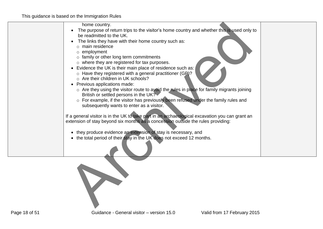| home country.                                                                                                          |  |
|------------------------------------------------------------------------------------------------------------------------|--|
| The purpose of return trips to the visitor's home country and whether this is used only to<br>be readmitted to the UK. |  |
|                                                                                                                        |  |
| The links they have with their home country such as:<br>$\circ$ main residence                                         |  |
| $\circ$ employment                                                                                                     |  |
| $\circ$ family or other long term commitments                                                                          |  |
| $\circ$ where they are registered for tax purposes.                                                                    |  |
| Evidence the UK is their main place of residence such as:                                                              |  |
| $\circ$ Have they registered with a general practitioner (GP)?                                                         |  |
| o Are their children in UK schools?                                                                                    |  |
| Previous applications made:                                                                                            |  |
| $\circ$ Are they using the visitor route to avoid the rules in place for family migrants joining                       |  |
| British or settled persons in the UK?                                                                                  |  |
| o For example, if the visitor has previously been refused under the family rules and                                   |  |
| subsequently wants to enter as a visitor.                                                                              |  |
|                                                                                                                        |  |
| If a general visitor is in the UK to take part in an archaeological excavation you can grant an                        |  |
| extension of stay beyond six months as a concession outside the rules providing:                                       |  |
| they produce evidence an extension of stay is necessary, and<br>$\bullet$                                              |  |
| the total period of their stay in the UK does not exceed 12 months.                                                    |  |
|                                                                                                                        |  |
|                                                                                                                        |  |
|                                                                                                                        |  |
|                                                                                                                        |  |
|                                                                                                                        |  |
|                                                                                                                        |  |
|                                                                                                                        |  |
|                                                                                                                        |  |
|                                                                                                                        |  |
|                                                                                                                        |  |
|                                                                                                                        |  |
|                                                                                                                        |  |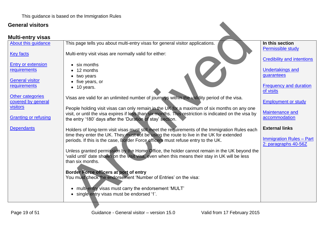#### <span id="page-18-0"></span>**Multi-entry visas**

| <b>General visitors</b>                   |                                                                                                                                                                                                       |                                            |
|-------------------------------------------|-------------------------------------------------------------------------------------------------------------------------------------------------------------------------------------------------------|--------------------------------------------|
| <b>Multi-entry visas</b>                  |                                                                                                                                                                                                       |                                            |
| About this guidance                       | This page tells you about multi-entry visas for general visitor applications.                                                                                                                         | In this section                            |
| <b>Key facts</b>                          | Multi-entry visit visas are normally valid for either:                                                                                                                                                | <b>Permissible study</b>                   |
|                                           |                                                                                                                                                                                                       | <b>Credibility and intentions</b>          |
| <b>Entry or extension</b><br>requirements | $\bullet$ six months<br>12 months                                                                                                                                                                     | <b>Undertakings and</b>                    |
|                                           | two years                                                                                                                                                                                             | guarantees                                 |
| <b>General visitor</b>                    | five years, or                                                                                                                                                                                        |                                            |
| requirements                              | 10 years.<br>$\bullet$                                                                                                                                                                                | <b>Frequency and duration</b><br>of visits |
| Other categories                          | Visas are valid for an unlimited number of journeys within the validity period of the visa.                                                                                                           |                                            |
| covered by general<br>visitors            |                                                                                                                                                                                                       | <b>Employment or study</b>                 |
|                                           | People holding visit visas can only remain in the UK for a maximum of six months on any one<br>visit, or until the visa expires if less than six months. This restriction is indicated on the visa by | <b>Maintenance and</b>                     |
| <b>Granting or refusing</b>               | the entry '180' days after the 'Duration of stay' section.                                                                                                                                            | accommodation                              |
| <b>Dependants</b>                         | Holders of long-term visit visas must still meet the requirements of the Immigration Rules each                                                                                                       | <b>External links</b>                      |
|                                           | time they enter the UK. They must not be using the route to live in the UK for extended                                                                                                               | <b>Immigration Rules - Part</b>            |
|                                           | periods. If this is the case, Border Force officers must refuse entry to the UK.                                                                                                                      | 2: paragraphs 40-56Z                       |
|                                           | Unless granted permission by the Home Office, the holder cannot remain in the UK beyond the                                                                                                           |                                            |
|                                           | 'valid until' date shown on the visit visa, even when this means their stay in UK will be less                                                                                                        |                                            |
|                                           | than six months.                                                                                                                                                                                      |                                            |
|                                           | Border Force officers at port of entry                                                                                                                                                                |                                            |
|                                           | You must check the endorsement 'Number of Entries' on the visa:                                                                                                                                       |                                            |
|                                           | • multi-entry visas must carry the endorsement 'MULT'                                                                                                                                                 |                                            |
|                                           | single entry visas must be endorsed '1'.                                                                                                                                                              |                                            |
|                                           |                                                                                                                                                                                                       |                                            |
|                                           |                                                                                                                                                                                                       |                                            |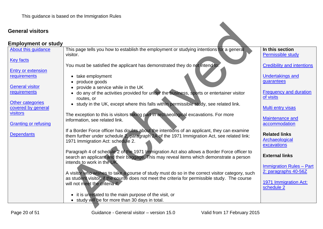<span id="page-19-0"></span>

| <b>General visitors</b>                        |                                                                                                                                                                                                                                |                                                         |
|------------------------------------------------|--------------------------------------------------------------------------------------------------------------------------------------------------------------------------------------------------------------------------------|---------------------------------------------------------|
| <b>Employment or study</b>                     |                                                                                                                                                                                                                                |                                                         |
| About this guidance                            | This page tells you how to establish the employment or studying intentions for a general<br>visitor.                                                                                                                           | In this section<br>Permissible study                    |
| <b>Key facts</b>                               | You must be satisfied the applicant has demonstrated they do not intend to:                                                                                                                                                    | <b>Credibility and intentions</b>                       |
| <b>Entry or extension</b><br>requirements      | • take employment                                                                                                                                                                                                              | <b>Undertakings and</b>                                 |
| <b>General visitor</b>                         | produce goods<br>provide a service while in the UK                                                                                                                                                                             | guarantees                                              |
| requirements                                   | do any of the activities provided for under the business, sports or entertainer visitor<br>routes, or                                                                                                                          | <b>Frequency and duration</b><br>of visits              |
| Other categories<br>covered by general         | • study in the UK, except where this falls within permissible study, see related link.                                                                                                                                         | <b>Multi entry visas</b>                                |
| <b>visitors</b><br><b>Granting or refusing</b> | The exception to this is visitors taking part in archaeological excavations. For more<br>information, see related link.                                                                                                        | Maintenance and<br>accommodation                        |
| <b>Dependants</b>                              | If a Border Force officer has doubts about the intentions of an applicant, they can examine<br>them further under schedule 2, paragraph 2A of the 1971 Immigration Act, see related link:<br>1971 Immigration Act: schedule 2. | <b>Related links</b><br>Archaeological<br>excavations   |
|                                                | Paragraph 4 of schedule 2 of the 1971 Immigration Act also allows a Border Force officer to<br>search an applicant and their baggage. This may reveal items which demonstrate a person<br>intends to work in the UK.           | <b>External links</b>                                   |
|                                                | A visitor who wishes to take a course of study must do so in the correct visitor category, such<br>as student visitor, if the course does not meet the criteria for permissible study. The course                              | <b>Immigration Rules - Part</b><br>2: paragraphs 40-56Z |
|                                                | will not meet the criteria it.                                                                                                                                                                                                 | 1971 Immigration Act:<br>schedule 2                     |
|                                                | • it is unrelated to the main purpose of the visit, or<br>study will be for more than 30 days in total.                                                                                                                        |                                                         |
|                                                |                                                                                                                                                                                                                                |                                                         |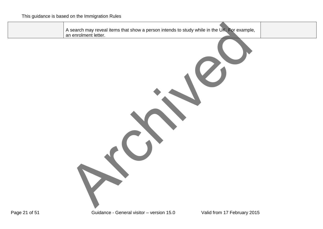| A search may reveal items that show a person intends to study while in the UK. For example, |  |
|---------------------------------------------------------------------------------------------|--|
| an enrolment letter.                                                                        |  |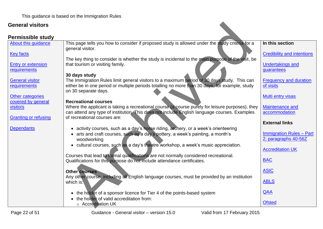<span id="page-21-0"></span>

| <b>General visitors</b>                       |                                                                                                                                                                                                                       |                                                         |
|-----------------------------------------------|-----------------------------------------------------------------------------------------------------------------------------------------------------------------------------------------------------------------------|---------------------------------------------------------|
| <b>Permissible study</b>                      |                                                                                                                                                                                                                       |                                                         |
| About this guidance                           | This page tells you how to consider if proposed study is allowed under the study criteria for a<br>general visitor.                                                                                                   | In this section                                         |
| <b>Key facts</b>                              | The key thing to consider is whether the study is incidental to the main purpose of the visit, be                                                                                                                     | <b>Credibility and intentions</b>                       |
| <b>Entry or extension</b><br>requirements     | that tourism or visiting family.                                                                                                                                                                                      | <b>Undertakings and</b><br>guarantees                   |
|                                               | 30 days study                                                                                                                                                                                                         |                                                         |
| <b>General visitor</b><br>requirements        | The Immigration Rules limit general visitors to a maximum period of 30 days study. This can<br>either be in one period or multiple periods totalling no more than 30 days, for example, study<br>on 30 separate days. | <b>Frequency and duration</b><br>of visits              |
| <b>Other categories</b><br>covered by general | <b>Recreational courses</b>                                                                                                                                                                                           | <b>Multi entry visas</b>                                |
| visitors                                      | Where the applicant is taking a recreational course (a course purely for leisure purposes), they<br>can attend any type of institution. This does not include English language courses. Examples                      | <b>Maintenance and</b><br>accommodation                 |
| <b>Granting or refusing</b>                   | of recreational courses are:                                                                                                                                                                                          | <b>External links</b>                                   |
| <b>Dependants</b>                             | activity courses, such as a day's horse riding, archery, or a week's orienteering                                                                                                                                     |                                                         |
|                                               | arts and craft courses, such as a day's pottery, a week's painting, a month's<br>woodworking                                                                                                                          | <b>Immigration Rules - Part</b><br>2: paragraphs 40-56Z |
|                                               | • cultural courses, such as a day's theatre workshop, a week's music appreciation.                                                                                                                                    | <b>Accreditation UK</b>                                 |
|                                               | Courses that lead to formal qualifications are not normally considered recreational.<br>Qualifications for this purpose do not include attendance certificates.                                                       | <b>BAC</b>                                              |
|                                               | <b>Other courses</b>                                                                                                                                                                                                  | <b>ASIC</b>                                             |
|                                               | Any other course, including all English language courses, must be provided by an institution<br>which is:                                                                                                             | <b>ABLS</b>                                             |
|                                               | the holder of a sponsor licence for Tier 4 of the points-based system<br>$\bullet$<br>the holder of valid accreditation from:                                                                                         | QAA                                                     |
|                                               | ○ Accreditation UK                                                                                                                                                                                                    | <b>Ofsted</b>                                           |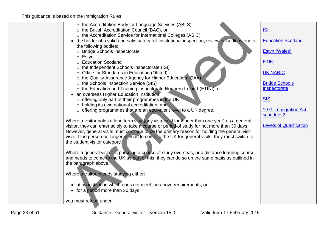| o the Accreditation Body for Language Services (ABLS)                                             |                                |
|---------------------------------------------------------------------------------------------------|--------------------------------|
| o the British Accreditation Council (BAC), or                                                     | <u>ISI</u>                     |
| o the Accreditation Service for International Colleges (ASIC)                                     |                                |
| • the holder of a valid and satisfactory full institutional inspection, review or audit by one of | <b>Education Scotland</b>      |
| the following bodies:                                                                             |                                |
| o Bridge Schools Inspectorate                                                                     | <b>Estyn (Wales)</b>           |
| $\circ$ Estyn                                                                                     |                                |
| o Education Scotland                                                                              | <b>ETINI</b>                   |
| o the Independent Schools Inspectorate (ISI)                                                      |                                |
| o Office for Standards in Education (Ofsted)                                                      | <b>UK NARIC</b>                |
| o the Quality Assurance Agency for Higher Education (QAA)                                         |                                |
| o the Schools Inspection Service (SIS)                                                            | <b>Bridge Schools</b>          |
| o the Education and Training Inspectorate Northern Ireland (ETINI), or                            | Inspectorate                   |
| • an overseas Higher Education Institution:                                                       |                                |
| $\circ$ offering only part of their programmes in the UK                                          | <b>SIS</b>                     |
| o holding its own national accreditation, and                                                     |                                |
| o offering programmes that are an equivalent level to a UK degree.                                | 1971 Immigration Act:          |
|                                                                                                   | schedule 2                     |
| Where a visitor holds a long term visa (any visa valid for longer than one year) as a general     |                                |
| visitor, they can enter solely to take a course or period of study for not more than 30 days.     | <b>Levels of Qualification</b> |
| However, general visits must continue to be the primary reason for holding the general visit      |                                |
| visa. If the person no longer intends to come to the UK for general visits, they must switch to   |                                |
| the student visitor category.                                                                     |                                |
|                                                                                                   |                                |
| Where a general visitor is pursuing a course of study overseas, or a distance learning course     |                                |
| and needs to come to the UK as part of this, they can do so on the same basis as outlined in      |                                |
| the paragraph above.                                                                              |                                |
|                                                                                                   |                                |
| Where a visitor intends studying either:                                                          |                                |
|                                                                                                   |                                |
| • at an institution which does not meet the above requirements, or                                |                                |
| • for a period more than 30 days                                                                  |                                |
| you must refuse under:                                                                            |                                |
|                                                                                                   |                                |
|                                                                                                   |                                |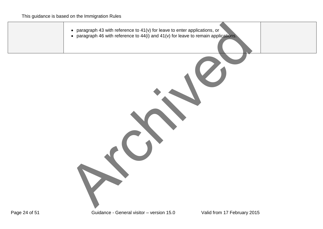| • paragraph 43 with reference to $41(v)$ for leave to enter applications, or<br>• paragraph 46 with reference to $44(i)$ and $41(v)$ for leave to remain applications. |
|------------------------------------------------------------------------------------------------------------------------------------------------------------------------|
|                                                                                                                                                                        |
|                                                                                                                                                                        |
|                                                                                                                                                                        |
|                                                                                                                                                                        |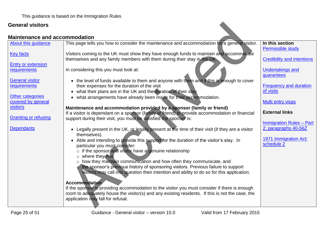#### **Maintenance and accommodation**

<span id="page-24-0"></span>

| <b>General visitors</b>                               |                                                                                                                                                                                                                                                           |                                                               |
|-------------------------------------------------------|-----------------------------------------------------------------------------------------------------------------------------------------------------------------------------------------------------------------------------------------------------------|---------------------------------------------------------------|
| <b>Maintenance and accommodation</b>                  |                                                                                                                                                                                                                                                           |                                                               |
| <b>About this guidance</b>                            | This page tells you how to consider the maintenance and accommodation for a general visitor.                                                                                                                                                              | In this section                                               |
| <b>Key facts</b>                                      | Visitors coming to the UK must show they have enough funds to maintain and accommodate<br>themselves and any family members with them during their stay in the UK.                                                                                        | <b>Permissible study</b><br><b>Credibility and intentions</b> |
| <b>Entry or extension</b>                             |                                                                                                                                                                                                                                                           |                                                               |
| requirements<br>In considering this you must look at: |                                                                                                                                                                                                                                                           | <b>Undertakings and</b><br>guarantees                         |
| <b>General visitor</b><br>requirements                | the level of funds available to them and anyone with them and if this is enough to cover<br>their expenses for the duration of the visit<br>what their plans are in the UK and the duration of their stay                                                 | <b>Frequency and duration</b><br>of visits                    |
| Other categories<br>$\bullet$<br>covered by general   | what arrangements have already been made for their accommodation.                                                                                                                                                                                         | Multi entry visas                                             |
| visitors<br><b>Granting or refusing</b>               | Maintenance and accommodation provided by a sponsor (family or friend)<br>If a visitor is dependant on a sponsor (family or friend) to provide accommodation or financial<br>support during their visit, you must be satisfied the sponsor is:            | <b>External links</b>                                         |
|                                                       |                                                                                                                                                                                                                                                           | <b>Immigration Rules - Part</b>                               |
| <b>Dependants</b><br>themselves).                     | Legally present in the UK, or legally present at the time of their visit (if they are a visitor                                                                                                                                                           | 2: paragraphs 40-56Z                                          |
| particular you must consider:                         | Able and intending to provide this support for the duration of the visitor's stay. In<br>$\circ$ if the sponsor and visitor have a genuine relationship                                                                                                   | 1971 Immigration Act:<br>schedule 2                           |
| o where they met                                      |                                                                                                                                                                                                                                                           |                                                               |
| <b>Accommodation</b>                                  | o how they maintain communication and how often they communicate, and<br>the sponsor's previous history of sponsoring visitors. Previous failure to support<br>visitors may call into question their intention and ability to do so for this application. |                                                               |
|                                                       | If the sponsor is providing accommodation to the visitor you must consider if there is enough                                                                                                                                                             |                                                               |
| application may fall for refusal.                     | room to adequately house the visitor(s) and any existing residents. If this is not the case, the                                                                                                                                                          |                                                               |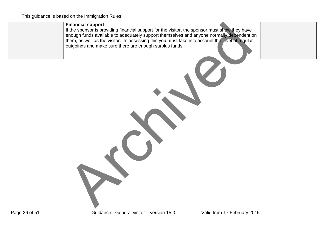#### **Financial support**

If the sponsor is providing financial support for the visitor, the sponsor must show they have enough funds available to adequately support themselves and anyone normally dependent on them, as well as the visitor. In assessing this you must take into account the level of regular outgoings and make sure there are enough surplus funds. Financial support for the visitor, the sponsor must show they have the sponsor is providing financial support for the visitor, the sponsor must show they have enough funds available to adequately support them selves and an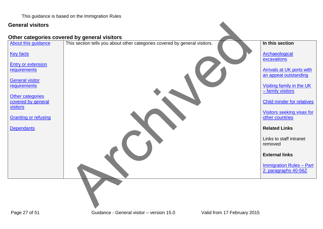This guidance is based on the Immigration Rules

#### **General visitors**

#### <span id="page-26-0"></span>**Other categories covered by general visitors**

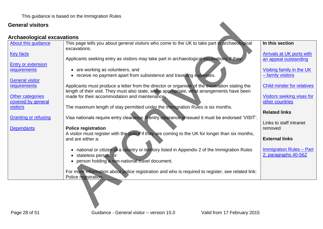<span id="page-27-0"></span>

| <b>General visitors</b>                       |                                                                                                                                                                       |                                                           |
|-----------------------------------------------|-----------------------------------------------------------------------------------------------------------------------------------------------------------------------|-----------------------------------------------------------|
| <b>Archaeological excavations</b>             |                                                                                                                                                                       |                                                           |
| About this guidance                           | This page tells you about general visitors who come to the UK to take part in archaeological<br>excavations.                                                          | In this section                                           |
| <b>Key facts</b>                              | Applicants seeking entry as visitors may take part in archaeological excavations if they:                                                                             | <b>Arrivals at UK ports with</b><br>an appeal outstanding |
| <b>Entry or extension</b><br>requirements     | are working as volunteers, and<br>• receive no payment apart from subsistence and travelling expenses.                                                                | Visiting family in the UK<br>- family visitors            |
| <b>General visitor</b><br>requirements        | Applicants must produce a letter from the director or organiser of the excavation stating the                                                                         | <b>Child minder for relatives</b>                         |
| <b>Other categories</b><br>covered by general | length of their visit. They must also state, when appropriate, what arrangements have been<br>made for their accommodation and maintenance.                           | Visitors seeking visas for<br>other countries             |
| visitors                                      | The maximum length of stay permitted under the Immigration Rules is six months.                                                                                       | <b>Related links</b>                                      |
| <b>Granting or refusing</b>                   | Visa nationals require entry clearance. If entry clearance is issued it must be endorsed 'VISIT'.                                                                     | Links to staff intranet<br>removed                        |
| <b>Dependants</b>                             | <b>Police registration</b><br>A visitor must register with the police if they are coming to the UK for longer than six months,<br>and are either a:                   | <b>External links</b>                                     |
|                                               | national or citizen of a country or territory listed in Appendix 2 of the Immigration Rules<br>stateless person, or<br>person holding a non-national travel document. | <b>Immigration Rules - Part</b><br>2: paragraphs 40-56Z   |
|                                               | For more information about police registration and who is required to register, see related link:<br>Police registration.                                             |                                                           |
|                                               |                                                                                                                                                                       |                                                           |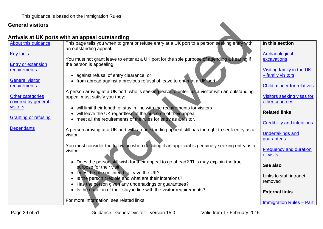# <span id="page-28-0"></span>**Arrivals at UK ports with an appeal outstanding**

| <b>General visitors</b>                   |                                                                                                                                                                       |                                               |
|-------------------------------------------|-----------------------------------------------------------------------------------------------------------------------------------------------------------------------|-----------------------------------------------|
|                                           | Arrivals at UK ports with an appeal outstanding                                                                                                                       |                                               |
| About this guidance                       | This page tells you when to grant or refuse entry at a UK port to a person seeking entry with<br>an outstanding appeal.                                               | In this section                               |
| <b>Key facts</b>                          | You must not grant leave to enter at a UK port for the sole purpose of attending a hearing if                                                                         | Archaeological<br>excavations                 |
| <b>Entry or extension</b><br>requirements | the person is appealing:                                                                                                                                              | Visiting family in the UK                     |
|                                           | • against refusal of entry clearance, or                                                                                                                              | - family visitors                             |
| <b>General visitor</b><br>requirements    | from abroad against a previous refusal of leave to enter at a UK port.                                                                                                | <b>Child minder for relatives</b>             |
| Other categories<br>covered by general    | A person arriving at a UK port, who is seeking leave to enter, as a visitor with an outstanding<br>appeal must satisfy you they:                                      | Visitors seeking visas for<br>other countries |
| visitors                                  | • will limit their length of stay in line with the requirements for visitors<br>will leave the UK regardless of the outcome of their appeal<br>$\bullet$              | <b>Related links</b>                          |
| <b>Granting or refusing</b>               | • meet all the requirements of the rules for entry as a visitor.                                                                                                      | <b>Credibility and intentions</b>             |
| <b>Dependants</b>                         | A person arriving at a UK port with an outstanding appeal still has the right to seek entry as a<br>visitor.                                                          | <b>Undertakings and</b><br>guarantees         |
|                                           | You must consider the following when deciding if an applicant is genuinely seeking entry as a<br>visitor:                                                             | <b>Frequency and duration</b><br>of visits    |
|                                           | • Does the person still wish for their appeal to go ahead? This may explain the true<br>purpose for their visit.                                                      | See also                                      |
|                                           | Does the person intend to leave the UK?<br>$\bullet$<br>Is the person credible and what are their intentions?<br>Has the person given any undertakings or guarantees? | Links to staff intranet<br>removed            |
|                                           | Is the duration of their stay in line with the visitor requirements?<br>$\bullet$                                                                                     | <b>External links</b>                         |
|                                           | For more information, see related links:                                                                                                                              | <b>Immigration Rules - Part</b>               |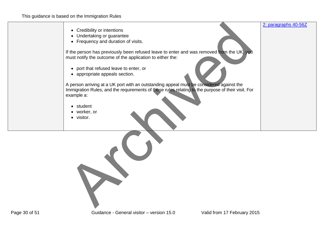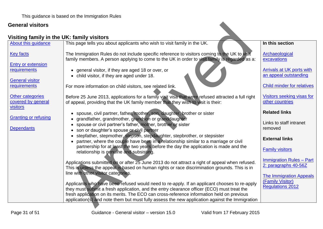# <span id="page-30-0"></span>**Visiting family in the UK: family visitors**

| <b>General visitors</b>                                   |                                                                                                                                                                                                 |                                                           |
|-----------------------------------------------------------|-------------------------------------------------------------------------------------------------------------------------------------------------------------------------------------------------|-----------------------------------------------------------|
| Visiting family in the UK: family visitors                |                                                                                                                                                                                                 |                                                           |
| About this guidance                                       | This page tells you about applicants who wish to visit family in the UK.                                                                                                                        | In this section                                           |
| <b>Key facts</b>                                          | The Immigration Rules do not include specific reference to visitors coming to the UK to visit<br>family members. A person applying to come to the UK in order to visit family is regarded as a: | Archaeological<br>excavations                             |
| <b>Entry or extension</b><br><u>requirements</u>          | • general visitor, if they are aged 18 or over, or<br>child visitor, if they are aged under 18.                                                                                                 | <b>Arrivals at UK ports with</b><br>an appeal outstanding |
| <b>General visitor</b><br>requirements                    | For more information on child visitors, see related link.                                                                                                                                       | <b>Child minder for relatives</b>                         |
| <b>Other categories</b><br>covered by general<br>visitors | Before 25 June 2013, applications for a family visit visa that were refused attracted a full right<br>of appeal, providing that the UK family member that they wish to visit is their:          | Visitors seeking visas for<br>other countries             |
| <b>Granting or refusing</b>                               | spouse, civil partner, father, mother, son, daughter, brother or sister<br>$\bullet$<br>grandfather, grandmother, grandson or granddaughter                                                     | <b>Related links</b>                                      |
| <b>Dependants</b>                                         | spouse or civil partner's father, mother, brother or sister<br>son or daughter's spouse or civil partner                                                                                        | Links to staff intranet<br>removed                        |
|                                                           | stepfather, stepmother, stepson, stepdaughter, stepbrother, or stepsister<br>partner, where the couple have been in a relationship similar to a marriage or civil                               | <b>External links</b>                                     |
|                                                           | partnership for at least the two years before the day the application is made and the<br>relationship is genuine and subsisting                                                                 | <b>Family visitors</b>                                    |
|                                                           | Applications submitted on or after 25 June 2013 do not attract a right of appeal when refused.<br>This is unless the appeal is based on human rights or race discrimination grounds. This is in | <b>Immigration Rules - Part</b><br>2: paragraphs 40-56Z   |
|                                                           | line with other visitor categories.<br>Applicants who have been refused would need to re-apply. If an applicant chooses to re-apply                                                             | <b>The Immigration Appeals</b><br>(Family Visitor)        |
|                                                           | they must submit a fresh application, and the entry clearance officer (ECO) must treat the<br>fresh application on its merits. The ECO can cross-reference information held on previous         | <b>Regulations 2012</b>                                   |
|                                                           | application(s) and note them but must fully assess the new application against the Immigration                                                                                                  |                                                           |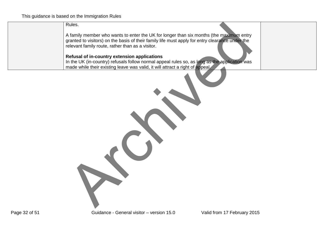Rules.

A family member who wants to enter the UK for longer than six months (the maximum entry granted to visitors) on the basis of their family life must apply for entry clearance under the relevant family route, rather than as a visitor. Rules.<br>A family member who wants to enter the UK for longer than six months (the maximum entry<br>granted to visitors) on the basis of their family life must apply for entry clear are under the<br>relevant family route, rather t

#### **Refusal of in-country extension applications**

In the UK (in-country) refusals follow normal appeal rules so, as long as the application was made while their existing leave was valid, it will attract a right of appeal.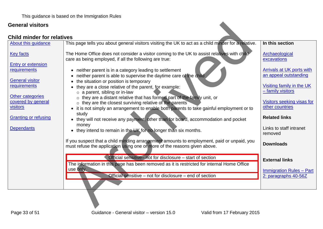#### <span id="page-32-0"></span>**Child minder for relatives**

| <b>General visitors</b>                                   |                                                                                                                                                                                                                                    |                                                           |
|-----------------------------------------------------------|------------------------------------------------------------------------------------------------------------------------------------------------------------------------------------------------------------------------------------|-----------------------------------------------------------|
| <b>Child minder for relatives</b>                         |                                                                                                                                                                                                                                    |                                                           |
| About this guidance                                       | This page tells you about general visitors visiting the UK to act as a child minder for a relative.                                                                                                                                | In this section                                           |
| <b>Key facts</b>                                          | The Home Office does not consider a visitor coming to the UK to assist relatives with child<br>care as being employed, if all the following are true:                                                                              | Archaeological<br>excavations                             |
| <b>Entry or extension</b><br>requirements                 | • neither parent is in a category leading to settlement<br>neither parent is able to supervise the daytime care of the child                                                                                                       | <b>Arrivals at UK ports with</b><br>an appeal outstanding |
| <b>General visitor</b><br>requirements                    | the situation or position is temporary<br>they are a close relative of the parent, for example:<br>$\circ$ a parent, sibling or in-law                                                                                             | Visiting family in the UK<br>- family visitors            |
| <b>Other categories</b><br>covered by general<br>visitors | o they are a distant relative that has formed part of the family unit, or<br>o they are the closest surviving relative of the parents<br>• it is not simply an arrangement to enable both parents to take gainful employment or to | Visitors seeking visas for<br>other countries             |
| <b>Granting or refusing</b>                               | study<br>they will not receive any payment, other than for board, accommodation and pocket<br>money                                                                                                                                | <b>Related links</b>                                      |
| <b>Dependants</b>                                         | they intend to remain in the UK for no longer than six months.                                                                                                                                                                     | Links to staff intranet<br>removed                        |
|                                                           | If you suspect that a child minding arrangement amounts to employment, paid or unpaid, you<br>must refuse the application using one or more of the reasons given above.                                                            | <b>Downloads</b>                                          |
|                                                           | Official sensitive - not for disclosure - start of section                                                                                                                                                                         | <b>External links</b>                                     |
|                                                           | The information in this page has been removed as it is restricted for internal Home Office<br>use only.                                                                                                                            | <b>Immigration Rules - Part</b>                           |
|                                                           | Official sensitive – not for disclosure – end of section                                                                                                                                                                           | 2: paragraphs 40-56Z                                      |
|                                                           |                                                                                                                                                                                                                                    |                                                           |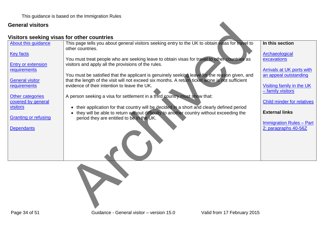#### <span id="page-33-0"></span>**Visitors seeking visas for other countries**

| <b>General visitors</b>                   |                                                                                                                                                                                                               |                                                |
|-------------------------------------------|---------------------------------------------------------------------------------------------------------------------------------------------------------------------------------------------------------------|------------------------------------------------|
|                                           | Visitors seeking visas for other countries                                                                                                                                                                    |                                                |
| About this quidance                       | This page tells you about general visitors seeking entry to the UK to obtain visas for travel to<br>other countries.                                                                                          | In this section                                |
| <b>Key facts</b>                          | You must treat people who are seeking leave to obtain visas for travel to other countries as                                                                                                                  | Archaeological<br>excavations                  |
| <b>Entry or extension</b><br>requirements | visitors and apply all the provisions of the rules.                                                                                                                                                           | Arrivals at UK ports with                      |
| <b>General visitor</b>                    | You must be satisfied that the applicant is genuinely seeking leave for the reason given, and<br>that the length of the visit will not exceed six months. A return ticket alone is not sufficient             | an appeal outstanding                          |
| requirements                              | evidence of their intention to leave the UK.                                                                                                                                                                  | Visiting family in the UK<br>- family visitors |
| Other categories<br>covered by general    | A person seeking a visa for settlement in a third country must show that:                                                                                                                                     | <b>Child minder for relatives</b>              |
| visitors                                  | their application for that country will be decided in a short and clearly defined period<br>$\bullet$<br>they will be able to return without difficulty to another country without exceeding the<br>$\bullet$ | <b>External links</b>                          |
| <b>Granting or refusing</b>               | period they are entitled to be in the UK.                                                                                                                                                                     | <b>Immigration Rules - Part</b>                |
| <b>Dependants</b>                         |                                                                                                                                                                                                               | 2: paragraphs 40-56Z                           |
|                                           |                                                                                                                                                                                                               |                                                |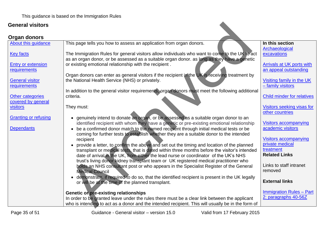#### **Organ donors**

<span id="page-34-0"></span>

| <b>General visitors</b>                   |                                                                                                                                                                                                          |                                                    |
|-------------------------------------------|----------------------------------------------------------------------------------------------------------------------------------------------------------------------------------------------------------|----------------------------------------------------|
| Organ donors                              |                                                                                                                                                                                                          |                                                    |
| About this guidance                       | This page tells you how to assess an application from organ donors.                                                                                                                                      | In this section<br>Archaeological                  |
| <b>Key facts</b>                          | The Immigration Rules for general visitors allow individuals who want to come to the UK to act<br>as an organ donor, or be assessed as a suitable organ donor. as long as they have a genetic            | excavations                                        |
| <b>Entry or extension</b><br>requirements | or existing emotional relationship with the recipient.                                                                                                                                                   | Arrivals at UK ports with<br>an appeal outstanding |
| <b>General visitor</b>                    | Organ donors can enter as general visitors if the recipient in the UK is receiving treatment by<br>the National Health Service (NHS) or privately.                                                       | Visiting family in the UK                          |
| requirements                              | In addition to the general visitor requirements, organ donors must meet the following additional                                                                                                         | - family visitors                                  |
| Other categories<br>covered by general    | criteria.                                                                                                                                                                                                | <b>Child minder for relatives</b>                  |
| visitors                                  | They must:                                                                                                                                                                                               | Visitors seeking visas for<br>other countries      |
| <b>Granting or refusing</b>               | genuinely intend to donate an organ, or be assessed as a suitable organ donor to an<br>$\bullet$<br>identified recipient with whom they have a genetic or pre-existing emotional relationship            | <b>Visitors accompanying</b>                       |
| <b>Dependants</b>                         | be a confirmed donor match to the named recipient through initial medical tests or be<br>$\bullet$<br>coming for further tests to establish whether they are a suitable donor to the intended            | academic visitors                                  |
|                                           | recipient<br>provide a letter, to confirm the above and set out the timing and location of the planned<br>$\bullet$                                                                                      | <b>Visitors accompanying</b><br>private medical    |
|                                           | transplant or medical tests, that is dated within three months before the visitor's intended<br>date of arrival in the UK, from either the lead nurse or coordinator of the UK's NHS                     | treatment<br><b>Related Links</b>                  |
|                                           | trust's living donor kidney transplant team or UK registered medical practitioner who<br>holds an NHS consultant post or who appears in the Specialist Register of the General<br><b>Medical Council</b> | Links to staff intranet<br>removed                 |
|                                           | demonstrate, if required to do so, that the identified recipient is present in the UK legally<br>$\bullet$<br>or will be at the time of the planned transplant.                                          | <b>External links</b>                              |
|                                           | Genetic or pre-existing relationships                                                                                                                                                                    | <b>Immigration Rules - Part</b>                    |
|                                           | In order to be granted leave under the rules there must be a clear link between the applicant<br>who is intending to act as a donor and the intended recipient. This will usually be in the form of      | 2: paragraphs 40-56Z                               |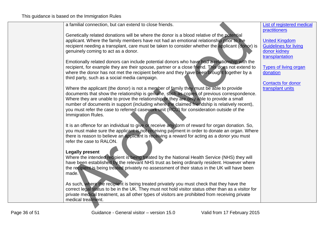| a familial connection, but can extend to close friends.                                             | List of registered medical   |
|-----------------------------------------------------------------------------------------------------|------------------------------|
|                                                                                                     | practitioners                |
| Genetically related donations will be where the donor is a blood relative of the potential          |                              |
| applicant. Where the family members have not had an emotional relationship prior to the             | <b>United Kingdom</b>        |
| recipient needing a transplant, care must be taken to consider whether the applicant (donor) is     | <b>Guidelines for living</b> |
| genuinely coming to act as a donor.                                                                 | donor kidney                 |
|                                                                                                     | transplantation              |
| Emotionally related donors can include potential donors who have had a relationship with the        |                              |
| recipient, for example they are their spouse, partner or a close friend. This does not extend to    | <b>Types of living organ</b> |
| where the donor has not met the recipient before and they have been brought together by a           | donation                     |
| third party, such as a social media campaign.                                                       |                              |
|                                                                                                     | <b>Contacts for donor</b>    |
| Where the applicant (the donor) is not a member of family they must be able to provide              | transplant units             |
| documents that show the relationship is genuine, such as copies of previous correspondence.         |                              |
| Where they are unable to prove the relationship or they are only able to provide a small            |                              |
| number of documents in support (including where the claimed friendship is relatively recent),       |                              |
| you must refer the case to referred casework unit (RCU) for consideration outside of the            |                              |
| Immigration Rules.                                                                                  |                              |
| It is an offence for an individual to give or receive any form of reward for organ donation. So,    |                              |
| you must make sure the applicant is not receiving payment in order to donate an organ. Where        |                              |
| there is reason to believe an applicant is receiving a reward for acting as a donor you must        |                              |
| refer the case to RALON.                                                                            |                              |
|                                                                                                     |                              |
| <b>Legally present</b>                                                                              |                              |
| Where the intended recipient is being treated by the National Health Service (NHS) they will        |                              |
| have been established by the relevant NHS trust as being ordinarily resident. However where         |                              |
| the recipient is being treated privately no assessment of their status in the UK will have been     |                              |
| made.                                                                                               |                              |
|                                                                                                     |                              |
| As such, where the recipient is being treated privately you must check that they have the           |                              |
| correct legal status to be in the UK. They must not hold visitor status other than as a visitor for |                              |
| private medical treatment, as all other types of visitors are prohibited from receiving private     |                              |
| medical treatment.                                                                                  |                              |
|                                                                                                     |                              |
|                                                                                                     |                              |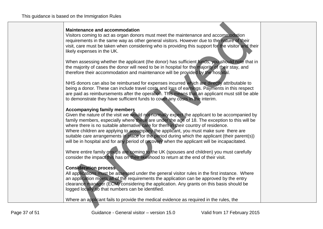#### **Maintenance and accommodation**

Visitors coming to act as organ donors must meet the maintenance and accommodation requirements in the same way as other general visitors. However due to the nature of their visit, care must be taken when considering who is providing this support for the visitor and their likely expenses in the UK.

When assessing whether the applicant (the donor) has sufficient funds, you should note that in the majority of cases the donor will need to be in hospital for the majority of their stay, and therefore their accommodation and maintenance will be provided by the hospital.

NHS donors can also be reimbursed for expenses incurred which are directly attributable to being a donor. These can include travel costs and loss of earnings. Payments in this respect are paid as reimbursements after the operation. This means that an applicant must still be able to demonstrate they have sufficient funds to cover any costs in the interim.

#### **Accompanying family members**

Given the nature of the visit we would not normally expect the applicant to be accompanied by family members, especially where these are under the age of 18. The exception to this will be where there is no suitable alternative care for them in their country of residence. Where children are applying to accompany the applicant, you must make sure there are suitable care arrangements in place for the period during which the applicant (their parent(s)) will be in hospital and for any period of recovery when the applicant will be incapacitated. Maintenance and accommodation<br>Visitiots coming to azt as organ donors must meet the maintenance and accommodation<br>Visitiots coming to azt as organ donors must meet the maintenance and accommodation<br>requirements in the same

Where entire family groups are coming to the UK (spouses and children) you must carefully consider the impact this has on their likelihood to return at the end of their visit.

#### **Consideration process**

All applications must be assessed under the general visitor rules in the first instance. Where an application meets all of the requirements the application can be approved by the entry clearance manager (ECM) considering the application. Any grants on this basis should be logged locally so that numbers can be identified.

Where an applicant fails to provide the medical evidence as required in the rules, the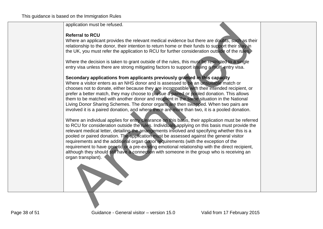application must be refused.

#### **Referral to RCU**

Where an applicant provides the relevant medical evidence but there are doubts, such as their relationship to the donor, their intention to return home or their funds to support their stay in the UK, you must refer the application to RCU for further consideration outside of the rules.

Where the decision is taken to grant outside of the rules, this must be restricted to a single entry visa unless there are strong mitigating factors to support issuing a multi-entry visa.

#### **Secondary applications from applicants previously granted in this capacity**

Where a visitor enters as an NHS donor and is assessed to be an unsuitable match or chooses not to donate, either because they are incompatible with their intended recipient, or prefer a better match, they may choose to pursue a paired or pooled donation. This allows them to be matched with another donor and recipient in the same situation in the National Living Donor Sharing Schemes. The donor organs are then swapped. When two pairs are involved it is a paired donation, and where there are more than two, it is a pooled donation.

Where an individual applies for entry clearance on this basis, their application must be referred to RCU for consideration outside the rules. Individuals applying on this basis must provide the relevant medical letter, detailing the arrangements involved and specifying whether this is a pooled or paired donation. The application must be assessed against the general visitor requirements and the additional organ donor requirements (with the exception of the requirement to have genetic or a pre-existing emotional relationship with the direct recipient, although they should still have a connection with someone in the group who is receiving an organ transplant). application must be refused.<br>
Neffer at a RGU<br>
Referration RGU<br>
Referration RGU<br>
Mikere an applicant provides the relevant medical evidence but there are doubles such as the<br>
Irelationship to the donor, their intention to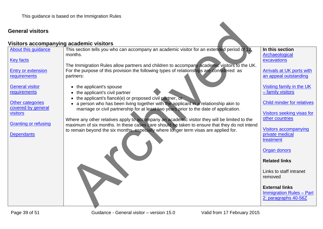#### **Visitors accompanying academic visitors**

<span id="page-38-0"></span>[About this guidance](#page-1-0) [Key facts](#page-4-0) [Entry or extension](#page-7-0)  [requirements](#page-7-0) [General visitor](#page-10-0)  [requirements](#page-10-0) [Other categories](#page-26-0)  [covered by general](#page-26-0)  [visitors](#page-26-0) [Granting or refusing](#page-40-0) **[Dependants](#page-48-0)** This section tells you who can accompany an academic visitor for an extended period of 12 months. The Immigration Rules allow partners and children to accompany academic visitors to the UK. For the purpose of this provision the following types of relationships are considered as partners: • the applicant's spouse • the applicant's civil partner • the applicant's fiancé(e) or proposed civil partner, or • a person who has been living together with the applicant in a relationship akin to marriage or civil partnership for at least two years prior to the date of application. Where any other relatives apply to accompany an academic visitor they will be limited to the maximum of six months. In these cases care should be taken to ensure that they do not intend to remain beyond the six months, especially where longer term visas are applied for. **In this section Archaeological** [excavations](#page-27-0) [Arrivals at UK ports with](#page-28-0)  [an appeal outstanding](#page-28-0)  [Visiting family in the UK](#page-30-0)  – [family visitors](#page-30-0) [Child minder for relatives](#page-32-0) [Visitors seeking visas for](#page-33-0)  [other countries](#page-33-0) [Visitors accompanying](#page-39-0)  [private medical](#page-39-0)  [treatment](#page-39-0) [Organ donors](#page-34-0) **Related links** Links to staff intranet removed **External links** [Immigration Rules –](https://www.gov.uk/government/publications/immigration-rules-part-2) Part **academic visitors**<br>
This section tells you who can accompany an academic visitor for an extended period of 12.<br>
The Immigration Rules allow partners and children to accompany academic visitors to the UI<br>
partners:<br>
the ap [2: paragraphs 40-56Z](https://www.gov.uk/government/publications/immigration-rules-part-2)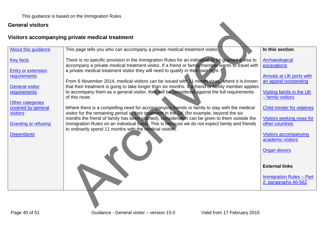This guidance is based on the Immigration Rules

#### **General visitors**

# <span id="page-39-0"></span>**Visitors accompanying private medical treatment**

| <b>General visitors</b>                            |                                                                                                                                                                                                                                                            |                                                           |
|----------------------------------------------------|------------------------------------------------------------------------------------------------------------------------------------------------------------------------------------------------------------------------------------------------------------|-----------------------------------------------------------|
|                                                    | Visitors accompanying private medical treatment                                                                                                                                                                                                            |                                                           |
| About this guidance                                | This page tells you who can accompany a private medical treatment visitor.                                                                                                                                                                                 | In this section                                           |
| <b>Key facts</b>                                   | There is no specific provision in the Immigration Rules for an individual to be granted a visa to<br>accompany a private medical treatment visitor. If a friend or family member wants to travel with                                                      | Archaeological<br>excavations                             |
| <b>Entry or extension</b><br>requirements          | a private medical treatment visitor they will need to qualify in their own right.<br>From 6 November 2014, medical visitors can be issued with 11 month visas, where it is known                                                                           | <b>Arrivals at UK ports with</b><br>an appeal outstanding |
| <b>General visitor</b><br>requirements             | that their treatment is going to take longer than six months. If a friend or family member applies<br>to accompany them as a general visitor, they will be considered against the full requirements<br>of this route.                                      | Visiting family in the UK<br>- family visitors            |
| Other categories<br>covered by general<br>visitors | Where there is a compelling need for accompanying friends or family to stay with the medical<br>visitor for the remaining period of their treatment in the UK (for example, beyond the six                                                                 | <b>Child minder for relatives</b>                         |
| <b>Granting or refusing</b>                        | months the friend of family has been granted), consideration can be given to them outside the<br>Immigration Rules on an individual basis. This is because we do not expect family and friends<br>to ordinarily spend 11 months with the medical visitors. | Visitors seeking visas for<br>other countries             |
| <b>Dependants</b>                                  |                                                                                                                                                                                                                                                            | <b>Visitors accompanying</b><br>academic visitors         |
|                                                    |                                                                                                                                                                                                                                                            | <b>Organ donors</b>                                       |
|                                                    |                                                                                                                                                                                                                                                            | <b>External links</b>                                     |
|                                                    |                                                                                                                                                                                                                                                            | <b>Immigration Rules - Part</b><br>2: paragraphs 40-56Z   |
|                                                    |                                                                                                                                                                                                                                                            |                                                           |
|                                                    |                                                                                                                                                                                                                                                            |                                                           |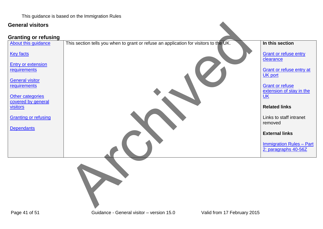This guidance is based on the Immigration Rules

#### **General visitors**

#### <span id="page-40-0"></span>**Granting or refusing**

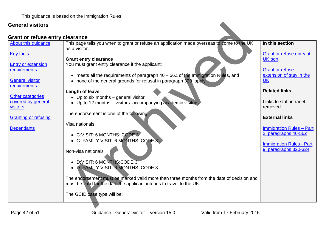[About this guidance](#page-1-0)

[Entry or extension](#page-7-0)  **[requirements](#page-7-0)** 

[General visitor](#page-10-0)  [requirements](#page-10-0)

[Other categories](#page-26-0)  [covered by general](#page-26-0) 

[Granting or refusing](#page-40-0)

[visitors](#page-26-0)

**[Dependants](#page-48-0)** 

[Key facts](#page-4-0)

#### <span id="page-41-0"></span>**Grant or refuse entry clearance**

This page tells you when to grant or refuse an application made overseas to come to the UK as a visitor. **IGATION**<br>
This page tells you when to grant or refuse an application made overseas to come to the unit<br>
as a visitor.<br> **Crant entry clearance**<br>
You must grant entry clearance if the applicant:<br>
<br> **Crance is all the requir** 

#### **Grant entry clearance**

You must grant entry clearance if the applicant:

- meets all the requirements of paragraph 40 56Z of the Immigration Rules, and
- none of the general grounds for refusal in paragraph 320 apply.

#### **Length of leave**

- Up to six months general visitor
- Up to 12 months visitors accompanying academic visitors.

The endorsement is one of the following:

Visa nationals

- C:VISIT: 6 MONTHS: CODE 3
- C: FAMILY VISIT: 6 MONTHS: CODE 3.

Non-visa nationals

- D:VISIT: 6 MONTHS:CODE 3
- D: FAMILY VISIT: 6 MONTHS: CODE 3.

The endorsement must be marked valid more than three months from the date of decision and must be valid for the date the applicant intends to travel to the UK.

The GCID case type will be:

**In this section**

[Grant or refuse entry at](#page-43-0)  [UK port](#page-43-0)

[Grant or refuse](#page-46-0)  [extension of stay in the](#page-46-0)  [UK](#page-46-0)

#### **Related links**

Links to staff intranet removed

#### **External links**

[Immigration Rules –](https://www.gov.uk/government/publications/immigration-rules-part-2) Part [2: paragraphs 40-56Z](https://www.gov.uk/government/publications/immigration-rules-part-2)

[Immigration Rules -](https://www.gov.uk/government/publications/immigration-rules-part-9) Part [9: paragraphs 320-324](https://www.gov.uk/government/publications/immigration-rules-part-9)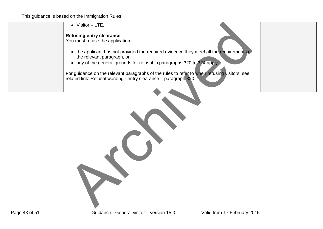| $\bullet$ Visitor - LTE.                                                                                                                                         |
|------------------------------------------------------------------------------------------------------------------------------------------------------------------|
| <b>Refusing entry clearance</b>                                                                                                                                  |
| You must refuse the application if:                                                                                                                              |
| • the applicant has not provided the required evidence they meet all the requirements of                                                                         |
| the relevant paragraph, or                                                                                                                                       |
| • any of the general grounds for refusal in paragraphs 320 to 324 apply.                                                                                         |
| For guidance on the relevant paragraphs of the rules to refer to when refusing visitors, see<br>related link: Refusal wording - entry clearance - paragraph 320. |
|                                                                                                                                                                  |
|                                                                                                                                                                  |
|                                                                                                                                                                  |
|                                                                                                                                                                  |
|                                                                                                                                                                  |
|                                                                                                                                                                  |
|                                                                                                                                                                  |
|                                                                                                                                                                  |
|                                                                                                                                                                  |
|                                                                                                                                                                  |
|                                                                                                                                                                  |
|                                                                                                                                                                  |
|                                                                                                                                                                  |
|                                                                                                                                                                  |
|                                                                                                                                                                  |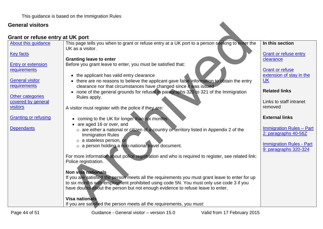<span id="page-43-0"></span>

| <b>General visitors</b>                   |                                                                                                                                                                                            |                                                          |
|-------------------------------------------|--------------------------------------------------------------------------------------------------------------------------------------------------------------------------------------------|----------------------------------------------------------|
| Grant or refuse entry at UK port          |                                                                                                                                                                                            |                                                          |
| About this quidance                       | This page tells you when to grant or refuse entry at a UK port to a person seeking to enter the<br>UK as a visitor.                                                                        | In this section                                          |
| <b>Key facts</b>                          | <b>Granting leave to enter</b>                                                                                                                                                             | <b>Grant or refuse entry</b><br>clearance                |
| <b>Entry or extension</b><br>requirements | Before you grant leave to enter, you must be satisfied that:                                                                                                                               | <b>Grant or refuse</b>                                   |
|                                           | • the applicant has valid entry clearance                                                                                                                                                  | extension of stay in the                                 |
| <b>General visitor</b><br>requirements    | there are no reasons to believe the applicant gave false information to obtain the entry<br>$\bullet$<br>clearance nor that circumstances have changed since it was issued                 | <b>UK</b>                                                |
| Other categories                          | • none of the general grounds for refusal in paragraphs 320 to 321 of the Immigration<br>Rules apply.                                                                                      | <b>Related links</b>                                     |
| covered by general<br><b>visitors</b>     | A visitor must register with the police if they are:                                                                                                                                       | Links to staff intranet<br>removed                       |
|                                           |                                                                                                                                                                                            | <b>External links</b>                                    |
| <b>Granting or refusing</b>               | • coming to the UK for longer than six months<br>are aged 16 or over, and                                                                                                                  |                                                          |
| <b>Dependants</b>                         | $\circ$ are either a national or citizen of a country or territory listed in Appendix 2 of the<br><b>Immigration Rules</b><br>o a stateless person, or                                     | <b>Immigration Rules - Part</b><br>2: paragraphs 40-56Z  |
|                                           | o a person holding a non-national travel document.                                                                                                                                         | <b>Immigration Rules - Part</b><br>9: paragraphs 320-324 |
|                                           | For more information about police registration and who is required to register, see related link:<br>Police registration.<br><b>Non visa nationals</b>                                     |                                                          |
|                                           | If you are satisfied the person meets all the requirements you must grant leave to enter for up<br>to six months with employment prohibited using code 5N. You must only use code 3 if you |                                                          |
|                                           | have doubts about the person but not enough evidence to refuse leave to enter.                                                                                                             |                                                          |
|                                           | <b>Visa nationals</b>                                                                                                                                                                      |                                                          |
|                                           | If you are satisfied the person meets all the requirements, you must:                                                                                                                      |                                                          |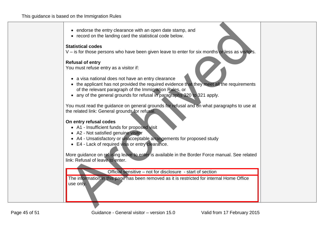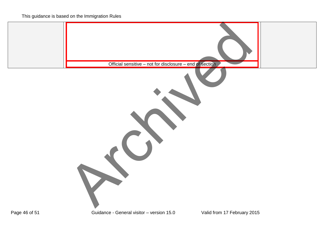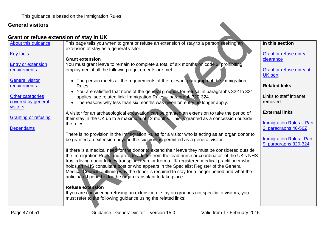### <span id="page-46-0"></span>**Grant or refuse extension of stay in UK**

| <b>General visitors</b>                            |                                                                                                                                                                                                                                                                                                                                                                                                                                                                                                                                                            |                                                                                  |
|----------------------------------------------------|------------------------------------------------------------------------------------------------------------------------------------------------------------------------------------------------------------------------------------------------------------------------------------------------------------------------------------------------------------------------------------------------------------------------------------------------------------------------------------------------------------------------------------------------------------|----------------------------------------------------------------------------------|
|                                                    | Grant or refuse extension of stay in UK                                                                                                                                                                                                                                                                                                                                                                                                                                                                                                                    |                                                                                  |
| About this quidance                                | This page tells you when to grant or refuse an extension of stay to a person seeking an<br>extension of stay as a general visitor.                                                                                                                                                                                                                                                                                                                                                                                                                         | In this section                                                                  |
| <b>Key facts</b>                                   | <b>Grant extension</b>                                                                                                                                                                                                                                                                                                                                                                                                                                                                                                                                     | <b>Grant or refuse entry</b><br>clearance                                        |
| <b>Entry or extension</b><br>requirements          | You must grant leave to remain to complete a total of six months on code 3, prohibiting<br>employment if all the following requirements are met:                                                                                                                                                                                                                                                                                                                                                                                                           | Grant or refuse entry at<br><b>UK port</b>                                       |
| <b>General visitor</b><br>requirements             | • The person meets all the requirements of the relevant paragraph of the Immigration<br>Rules.                                                                                                                                                                                                                                                                                                                                                                                                                                                             | <b>Related links</b>                                                             |
| Other categories<br>covered by general<br>visitors | • You are satisfied that none of the general grounds for refusal in paragraphs 322 to 324<br>applies, see related link: Immigration Rules - paragraph 320-324.<br>• The reasons why less than six months was given on entry no longer apply.                                                                                                                                                                                                                                                                                                               | Links to staff intranet<br>removed                                               |
| <b>Granting or refusing</b>                        | A visitor for an archaeological excavation can be granted an extension to take the period of<br>their stay in the UK up to a maximum of 12 months. This is granted as a concession outside<br>the rules.                                                                                                                                                                                                                                                                                                                                                   | <b>External links</b><br><b>Immigration Rules - Part</b>                         |
| <b>Dependants</b>                                  | There is no provision in the Immigration Rules for a visitor who is acting as an organ donor to<br>be granted an extension beyond the six months permitted as a general visitor.                                                                                                                                                                                                                                                                                                                                                                           | 2: paragraphs 40-56Z<br><b>Immigration Rules - Part</b><br>9: paragraphs 320-324 |
|                                                    | If there is a medical need for the donor to extend their leave they must be considered outside<br>the Immigration Rules and provide a letter from the lead nurse or coordinator of the UK's NHS<br>trust's living donor kidney transplant team or from a UK registered medical practitioner who<br>holds an NHS consultant post or who appears in the Specialist Register of the General<br>Medical Council, outlining why the donor is required to stay for a longer period and what the<br>anticipated period is for the organ transplant to take place. |                                                                                  |
|                                                    | <b>Refuse extension</b><br>If you are considering refusing an extension of stay on grounds not specific to visitors, you<br>must refer to the following guidance using the related links:                                                                                                                                                                                                                                                                                                                                                                  |                                                                                  |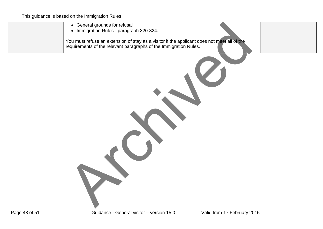| • General grounds for refusal<br>• Immigration Rules - paragraph 320-324.<br>You must refuse an extension of stay as a visitor if the applicant does not meet all of the<br>requirements of the relevant paragraphs of the Immigration Rules. |
|-----------------------------------------------------------------------------------------------------------------------------------------------------------------------------------------------------------------------------------------------|
|                                                                                                                                                                                                                                               |
|                                                                                                                                                                                                                                               |
|                                                                                                                                                                                                                                               |
|                                                                                                                                                                                                                                               |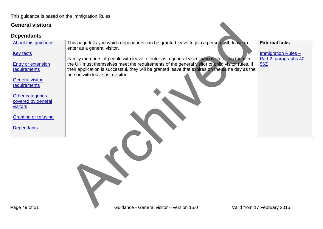<span id="page-48-0"></span>

| <b>General visitors</b>                                                                                                                                                                                                                                |                                                                                                                                                                                                                                                                                                                                                                                                                                                               |                                                                                      |
|--------------------------------------------------------------------------------------------------------------------------------------------------------------------------------------------------------------------------------------------------------|---------------------------------------------------------------------------------------------------------------------------------------------------------------------------------------------------------------------------------------------------------------------------------------------------------------------------------------------------------------------------------------------------------------------------------------------------------------|--------------------------------------------------------------------------------------|
| <b>Dependants</b>                                                                                                                                                                                                                                      |                                                                                                                                                                                                                                                                                                                                                                                                                                                               |                                                                                      |
| <b>About this guidance</b><br><b>Key facts</b><br><b>Entry or extension</b><br>requirements<br><b>General visitor</b><br>requirements<br><b>Other categories</b><br>covered by general<br>visitors<br><b>Granting or refusing</b><br><b>Dependants</b> | This page tells you which dependants can be granted leave to join a person with leave to<br>enter as a general visitor.<br>Family members of people with leave to enter as a general visitor who wish to join them in<br>the UK must themselves meet the requirements of the general visitor or child visitor rules. If<br>their application is successful, they will be granted leave that expires on the same day as the<br>person with leave as a visitor. | <b>External links</b><br><b>Immigration Rules -</b><br>Part 2: paragraphs 40-<br>56Z |
| Page 49 of 51                                                                                                                                                                                                                                          | Guidance - General visitor - version 15.0                                                                                                                                                                                                                                                                                                                                                                                                                     | Valid from 17 February 2015                                                          |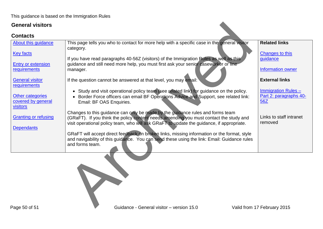<span id="page-49-0"></span>

| <b>About this guidance</b>  | This page tells you who to contact for more help with a specific case in the general visitor<br>category.                                                                      | <b>Related links</b>        |
|-----------------------------|--------------------------------------------------------------------------------------------------------------------------------------------------------------------------------|-----------------------------|
| <b>Key facts</b>            |                                                                                                                                                                                | Changes to this<br>guidance |
| <b>Entry or extension</b>   | If you have read paragraphs 40-56Z (visitors) of the Immigration Rules as well as this<br>guidance and still need more help, you must first ask your senior caseworker or line |                             |
| requirements                | manager.                                                                                                                                                                       | <b>Information owner</b>    |
| <b>General visitor</b>      | If the question cannot be answered at that level, you may email:                                                                                                               | <b>External links</b>       |
| requirements                | • Study and visit operational policy team (see related link) for guidance on the policy.                                                                                       | <b>Immigration Rules-</b>   |
| <b>Other categories</b>     | • Border Force officers can email BF Operations Advice and Support, see related link:                                                                                          | Part 2: paragraphs 40-      |
| covered by general          | Email: BF OAS Enquiries.                                                                                                                                                       | 56Z                         |
| <b>visitors</b>             |                                                                                                                                                                                |                             |
| <b>Granting or refusing</b> | Changes to this guidance can only be made by the guidance rules and forms team<br>(GRaFT). If you think the policy content needs amending you must contact the study and       | Links to staff intranet     |
|                             | visit operational policy team, who will ask GRaFT to update the guidance, if appropriate.                                                                                      | removed                     |
| <b>Dependants</b>           |                                                                                                                                                                                |                             |
|                             | GRaFT will accept direct feedback on broken links, missing information or the format, style                                                                                    |                             |
|                             | and navigability of this guidance. You can send these using the link: Email: Guidance rules<br>and forms team.                                                                 |                             |
|                             |                                                                                                                                                                                |                             |
|                             |                                                                                                                                                                                |                             |
|                             |                                                                                                                                                                                |                             |
|                             |                                                                                                                                                                                |                             |
|                             |                                                                                                                                                                                |                             |
|                             |                                                                                                                                                                                |                             |
|                             |                                                                                                                                                                                |                             |
|                             |                                                                                                                                                                                |                             |
| Page 50 of 51               | Guidance - General visitor - version 15.0                                                                                                                                      | Valid from 17 February 2015 |